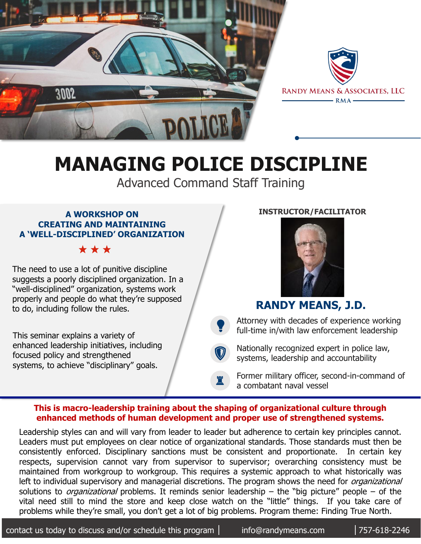



# **MANAGING POLICE DISCIPLINE**

Advanced Command Staff Training

#### **A WORKSHOP ON CREATING AND MAINTAINING A 'WELL-DISCIPLINED' ORGANIZATION**

\* \* \*

The need to use a lot of punitive discipline suggests a poorly disciplined organization. In a "well-disciplined" organization, systems work properly and people do what they're supposed to do, including follow the rules.

This seminar explains a variety of enhanced leadership initiatives, including focused policy and strengthened systems, to achieve "disciplinary" goals.

#### **INSTRUCTOR/FACILITATOR**



## **RANDY MEANS, J.D.**

 $\bullet$ Attorney with decades of experience working full-time in/with law enforcement leadership

 $\bigcirc$ Nationally recognized expert in police law, systems, leadership and accountability

Former military officer, second-in-command of a combatant naval vessel

#### **This is macro-leadership training about the shaping of organizational culture through enhanced methods of human development and proper use of strengthened systems.**

♜

Leadership styles can and will vary from leader to leader but adherence to certain key principles cannot. Leaders must put employees on clear notice of organizational standards. Those standards must then be consistently enforced. Disciplinary sanctions must be consistent and proportionate. In certain key respects, supervision cannot vary from supervisor to supervisor; overarching consistency must be maintained from workgroup to workgroup. This requires a systemic approach to what historically was left to individual supervisory and managerial discretions. The program shows the need for *organizational* solutions to *organizational* problems. It reminds senior leadership – the "big picture" people – of the vital need still to mind the store and keep close watch on the "little" things. If you take care of problems while they're small, you don't get a lot of big problems. Program theme: Finding True North.

contact us today to discuss and/or schedule this program  $\vert$  info@randymeans.com  $\vert$  757-618-2246

info@randymeans.com